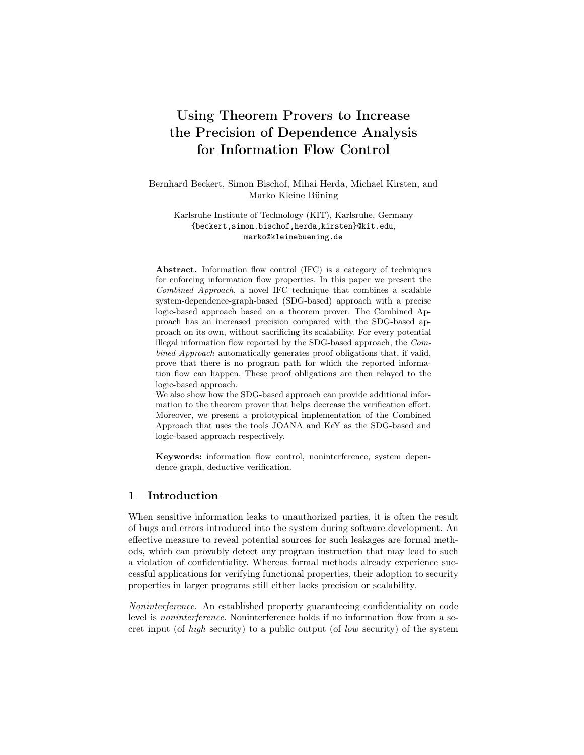# Using Theorem Provers to Increase the Precision of Dependence Analysis for Information Flow Control

Bernhard Beckert, Simon Bischof, Mihai Herda, Michael Kirsten, and Marko Kleine Büning

Karlsruhe Institute of Technology (KIT), Karlsruhe, Germany {beckert,simon.bischof,herda,kirsten}@kit.edu, marko@kleinebuening.de

Abstract. Information flow control (IFC) is a category of techniques for enforcing information flow properties. In this paper we present the Combined Approach, a novel IFC technique that combines a scalable system-dependence-graph-based (SDG-based) approach with a precise logic-based approach based on a theorem prover. The Combined Approach has an increased precision compared with the SDG-based approach on its own, without sacrificing its scalability. For every potential illegal information flow reported by the SDG-based approach, the Combined Approach automatically generates proof obligations that, if valid, prove that there is no program path for which the reported information flow can happen. These proof obligations are then relayed to the logic-based approach.

We also show how the SDG-based approach can provide additional information to the theorem prover that helps decrease the verification effort. Moreover, we present a prototypical implementation of the Combined Approach that uses the tools JOANA and KeY as the SDG-based and logic-based approach respectively.

Keywords: information flow control, noninterference, system dependence graph, deductive verification.

## <span id="page-0-0"></span>1 Introduction

When sensitive information leaks to unauthorized parties, it is often the result of bugs and errors introduced into the system during software development. An effective measure to reveal potential sources for such leakages are formal methods, which can provably detect any program instruction that may lead to such a violation of confidentiality. Whereas formal methods already experience successful applications for verifying functional properties, their adoption to security properties in larger programs still either lacks precision or scalability.

Noninterference. An established property guaranteeing confidentiality on code level is noninterference. Noninterference holds if no information flow from a secret input (of high security) to a public output (of low security) of the system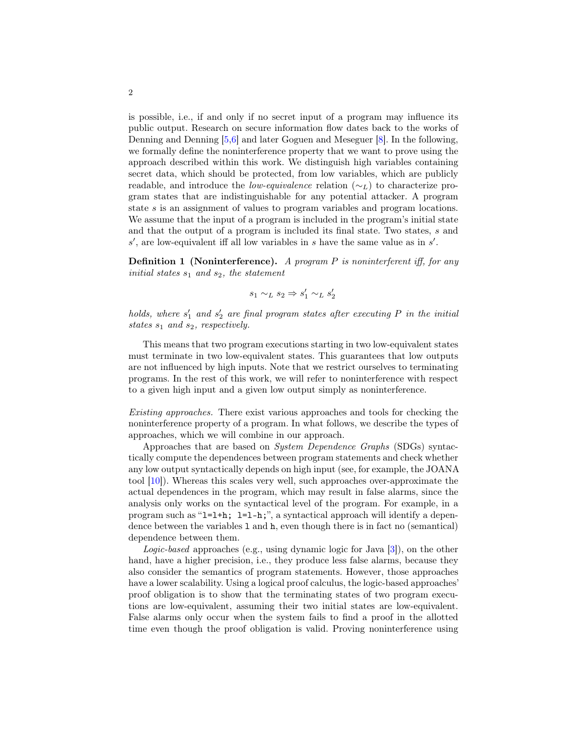is possible, i.e., if and only if no secret input of a program may influence its public output. Research on secure information flow dates back to the works of Denning and Denning [\[5,](#page-14-0)[6\]](#page-14-1) and later Goguen and Meseguer [\[8\]](#page-14-2). In the following, we formally define the noninterference property that we want to prove using the approach described within this work. We distinguish high variables containing secret data, which should be protected, from low variables, which are publicly readable, and introduce the *low-equivalence* relation  $(\sim_L)$  to characterize program states that are indistinguishable for any potential attacker. A program state s is an assignment of values to program variables and program locations. We assume that the input of a program is included in the program's initial state and that the output of a program is included its final state. Two states, s and  $s'$ , are low-equivalent iff all low variables in s have the same value as in  $s'$ .

<span id="page-1-0"></span>**Definition 1** (Noninterference). A program  $P$  is noninterferent iff, for any initial states  $s_1$  and  $s_2$ , the statement

$$
s_1\sim_L s_2 \Rightarrow s_1'\sim_L s_2'
$$

holds, where  $s'_1$  and  $s'_2$  are final program states after executing P in the initial states  $s_1$  and  $s_2$ , respectively.

This means that two program executions starting in two low-equivalent states must terminate in two low-equivalent states. This guarantees that low outputs are not influenced by high inputs. Note that we restrict ourselves to terminating programs. In the rest of this work, we will refer to noninterference with respect to a given high input and a given low output simply as noninterference.

Existing approaches. There exist various approaches and tools for checking the noninterference property of a program. In what follows, we describe the types of approaches, which we will combine in our approach.

Approaches that are based on System Dependence Graphs (SDGs) syntactically compute the dependences between program statements and check whether any low output syntactically depends on high input (see, for example, the JOANA tool [\[10\]](#page-14-3)). Whereas this scales very well, such approaches over-approximate the actual dependences in the program, which may result in false alarms, since the analysis only works on the syntactical level of the program. For example, in a program such as "l=l+h; l=l-h;", a syntactical approach will identify a dependence between the variables 1 and h, even though there is in fact no (semantical) dependence between them.

Logic-based approaches (e.g., using dynamic logic for Java [\[3\]](#page-14-4)), on the other hand, have a higher precision, i.e., they produce less false alarms, because they also consider the semantics of program statements. However, those approaches have a lower scalability. Using a logical proof calculus, the logic-based approaches' proof obligation is to show that the terminating states of two program executions are low-equivalent, assuming their two initial states are low-equivalent. False alarms only occur when the system fails to find a proof in the allotted time even though the proof obligation is valid. Proving noninterference using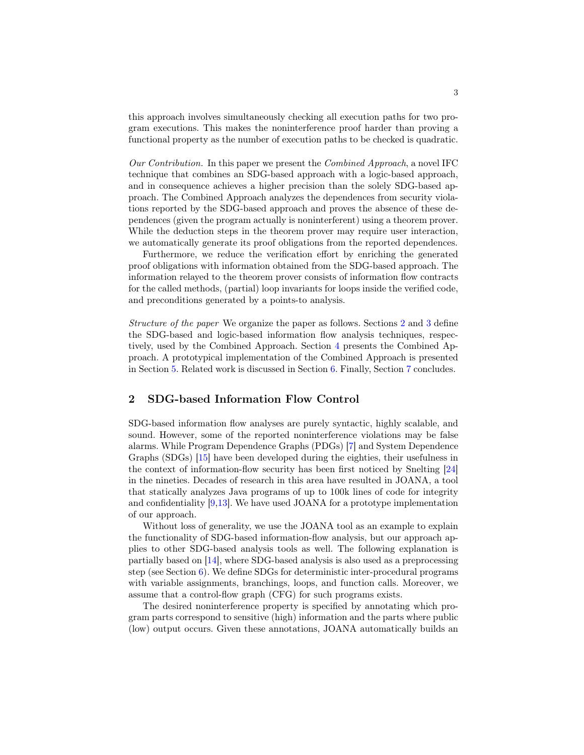this approach involves simultaneously checking all execution paths for two program executions. This makes the noninterference proof harder than proving a functional property as the number of execution paths to be checked is quadratic.

Our Contribution. In this paper we present the Combined Approach, a novel IFC technique that combines an SDG-based approach with a logic-based approach, and in consequence achieves a higher precision than the solely SDG-based approach. The Combined Approach analyzes the dependences from security violations reported by the SDG-based approach and proves the absence of these dependences (given the program actually is noninterferent) using a theorem prover. While the deduction steps in the theorem prover may require user interaction, we automatically generate its proof obligations from the reported dependences.

Furthermore, we reduce the verification effort by enriching the generated proof obligations with information obtained from the SDG-based approach. The information relayed to the theorem prover consists of information flow contracts for the called methods, (partial) loop invariants for loops inside the verified code, and preconditions generated by a points-to analysis.

Structure of the paper We organize the paper as follows. Sections [2](#page-2-0) and [3](#page-4-0) define the SDG-based and logic-based information flow analysis techniques, respectively, used by the Combined Approach. Section [4](#page-6-0) presents the Combined Approach. A prototypical implementation of the Combined Approach is presented in Section [5.](#page-10-0) Related work is discussed in Section [6.](#page-12-0) Finally, Section [7](#page-13-0) concludes.

## <span id="page-2-0"></span>2 SDG-based Information Flow Control

SDG-based information flow analyses are purely syntactic, highly scalable, and sound. However, some of the reported noninterference violations may be false alarms. While Program Dependence Graphs (PDGs) [\[7\]](#page-14-5) and System Dependence Graphs (SDGs) [\[15\]](#page-15-0) have been developed during the eighties, their usefulness in the context of information-flow security has been first noticed by Snelting [\[24\]](#page-15-1) in the nineties. Decades of research in this area have resulted in JOANA, a tool that statically analyzes Java programs of up to 100k lines of code for integrity and confidentiality [\[9,](#page-14-6)[13\]](#page-15-2). We have used JOANA for a prototype implementation of our approach.

Without loss of generality, we use the JOANA tool as an example to explain the functionality of SDG-based information-flow analysis, but our approach applies to other SDG-based analysis tools as well. The following explanation is partially based on [\[14\]](#page-15-3), where SDG-based analysis is also used as a preprocessing step (see Section [6\)](#page-12-0). We define SDGs for deterministic inter-procedural programs with variable assignments, branchings, loops, and function calls. Moreover, we assume that a control-flow graph (CFG) for such programs exists.

The desired noninterference property is specified by annotating which program parts correspond to sensitive (high) information and the parts where public (low) output occurs. Given these annotations, JOANA automatically builds an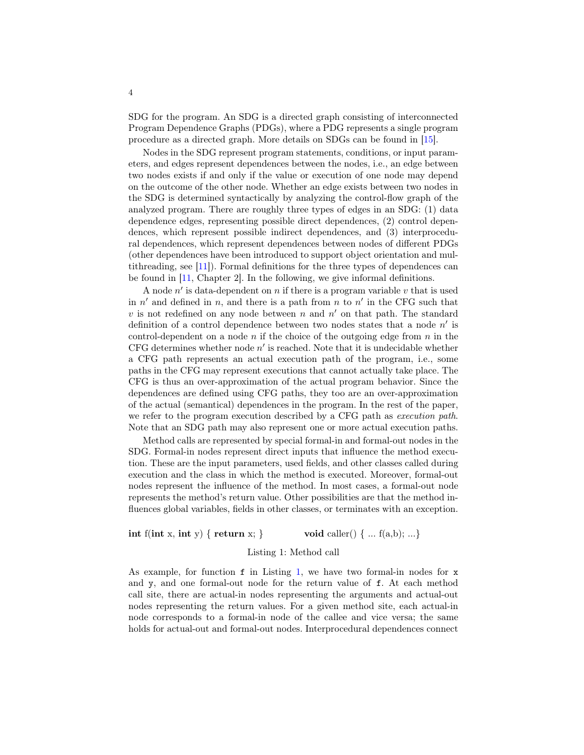SDG for the program. An SDG is a directed graph consisting of interconnected Program Dependence Graphs (PDGs), where a PDG represents a single program procedure as a directed graph. More details on SDGs can be found in [\[15\]](#page-15-0).

Nodes in the SDG represent program statements, conditions, or input parameters, and edges represent dependences between the nodes, i.e., an edge between two nodes exists if and only if the value or execution of one node may depend on the outcome of the other node. Whether an edge exists between two nodes in the SDG is determined syntactically by analyzing the control-flow graph of the analyzed program. There are roughly three types of edges in an SDG: (1) data dependence edges, representing possible direct dependences, (2) control dependences, which represent possible indirect dependences, and (3) interprocedural dependences, which represent dependences between nodes of different PDGs (other dependences have been introduced to support object orientation and multithreading, see [\[11\]](#page-14-7)). Formal definitions for the three types of dependences can be found in [\[11,](#page-14-7) Chapter 2]. In the following, we give informal definitions.

A node  $n'$  is data-dependent on n if there is a program variable v that is used in  $n'$  and defined in n, and there is a path from n to n' in the CFG such that v is not redefined on any node between  $n$  and  $n'$  on that path. The standard definition of a control dependence between two nodes states that a node  $n'$  is control-dependent on a node n if the choice of the outgoing edge from  $n$  in the CFG determines whether node  $n'$  is reached. Note that it is undecidable whether a CFG path represents an actual execution path of the program, i.e., some paths in the CFG may represent executions that cannot actually take place. The CFG is thus an over-approximation of the actual program behavior. Since the dependences are defined using CFG paths, they too are an over-approximation of the actual (semantical) dependences in the program. In the rest of the paper, we refer to the program execution described by a CFG path as execution path. Note that an SDG path may also represent one or more actual execution paths.

Method calls are represented by special formal-in and formal-out nodes in the SDG. Formal-in nodes represent direct inputs that influence the method execution. These are the input parameters, used fields, and other classes called during execution and the class in which the method is executed. Moreover, formal-out nodes represent the influence of the method. In most cases, a formal-out node represents the method's return value. Other possibilities are that the method influences global variables, fields in other classes, or terminates with an exception.

<span id="page-3-0"></span>int f(int x, int y) { return x; } void caller() { ...  $f(a,b)$ ; ...}

#### Listing 1: Method call

As example, for function  $f$  in Listing [1,](#page-3-0) we have two formal-in nodes for  $x$ and y, and one formal-out node for the return value of f. At each method call site, there are actual-in nodes representing the arguments and actual-out nodes representing the return values. For a given method site, each actual-in node corresponds to a formal-in node of the callee and vice versa; the same holds for actual-out and formal-out nodes. Interprocedural dependences connect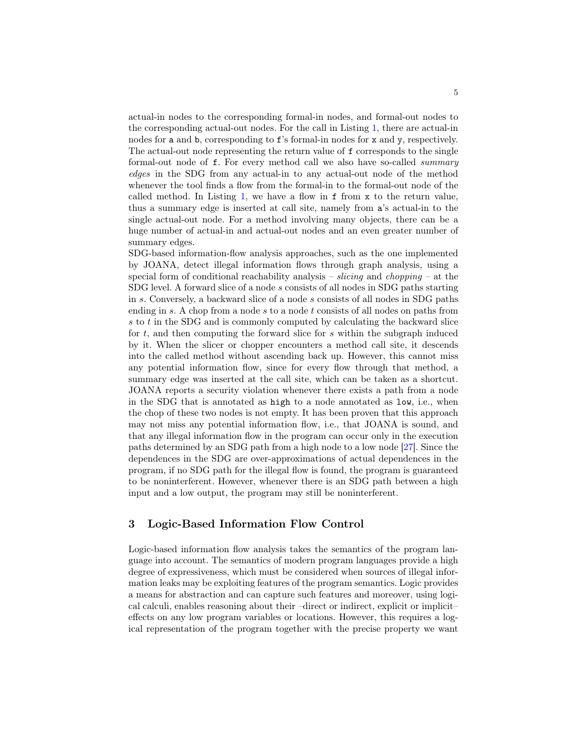actual-in nodes to the corresponding formal-in nodes, and formal-out nodes to the corresponding actual-out nodes. For the call in Listing [1,](#page-3-0) there are actual-in nodes for a and b, corresponding to f's formal-in nodes for x and y, respectively. The actual-out node representing the return value of f corresponds to the single formal-out node of f. For every method call we also have so-called summary edges in the SDG from any actual-in to any actual-out node of the method whenever the tool finds a flow from the formal-in to the formal-out node of the called method. In Listing [1,](#page-3-0) we have a flow in f from x to the return value, thus a summary edge is inserted at call site, namely from a's actual-in to the single actual-out node. For a method involving many objects, there can be a huge number of actual-in and actual-out nodes and an even greater number of summary edges.

SDG-based information-flow analysis approaches, such as the one implemented by JOANA, detect illegal information flows through graph analysis, using a special form of conditional reachability analysis – slicing and chopping – at the SDG level. A forward slice of a node s consists of all nodes in SDG paths starting in s. Conversely, a backward slice of a node s consists of all nodes in SDG paths ending in s. A chop from a node s to a node  $t$  consists of all nodes on paths from s to t in the SDG and is commonly computed by calculating the backward slice for  $t$ , and then computing the forward slice for  $s$  within the subgraph induced by it. When the slicer or chopper encounters a method call site, it descends into the called method without ascending back up. However, this cannot miss any potential information flow, since for every flow through that method, a summary edge was inserted at the call site, which can be taken as a shortcut. JOANA reports a security violation whenever there exists a path from a node in the SDG that is annotated as high to a node annotated as low, i.e., when the chop of these two nodes is not empty. It has been proven that this approach may not miss any potential information flow, i.e., that JOANA is sound, and that any illegal information flow in the program can occur only in the execution paths determined by an SDG path from a high node to a low node [\[27\]](#page-15-4). Since the dependences in the SDG are over-approximations of actual dependences in the program, if no SDG path for the illegal flow is found, the program is guaranteed to be noninterferent. However, whenever there is an SDG path between a high input and a low output, the program may still be noninterferent.

## <span id="page-4-0"></span>3 Logic-Based Information Flow Control

Logic-based information flow analysis takes the semantics of the program language into account. The semantics of modern program languages provide a high degree of expressiveness, which must be considered when sources of illegal information leaks may be exploiting features of the program semantics. Logic provides a means for abstraction and can capture such features and moreover, using logical calculi, enables reasoning about their –direct or indirect, explicit or implicit– effects on any low program variables or locations. However, this requires a logical representation of the program together with the precise property we want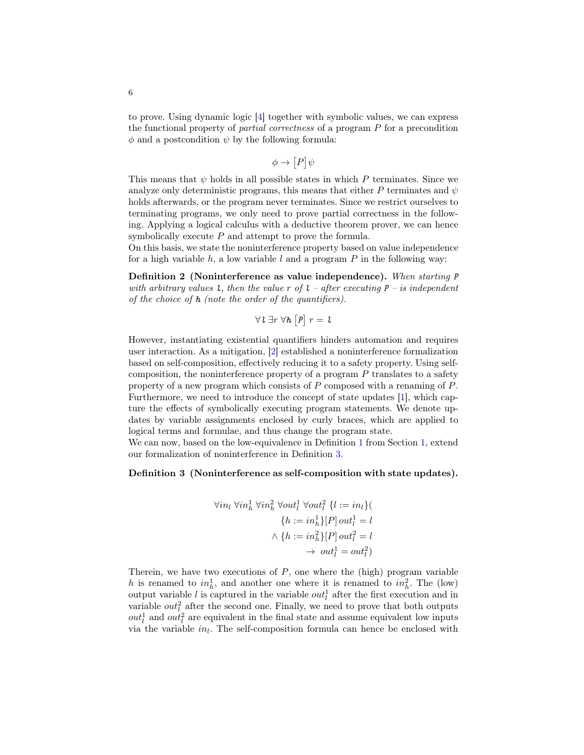to prove. Using dynamic logic [\[4\]](#page-14-8) together with symbolic values, we can express the functional property of partial correctness of a program P for a precondition  $\phi$  and a postcondition  $\psi$  by the following formula:

$$
\phi \to [P]\psi
$$

This means that  $\psi$  holds in all possible states in which P terminates. Since we analyze only deterministic programs, this means that either P terminates and  $\psi$ holds afterwards, or the program never terminates. Since we restrict ourselves to terminating programs, we only need to prove partial correctness in the following. Applying a logical calculus with a deductive theorem prover, we can hence symbolically execute  $P$  and attempt to prove the formula.

On this basis, we state the noninterference property based on value independence for a high variable  $h$ , a low variable  $l$  and a program  $P$  in the following way:

Definition 2 (Noninterference as value independence). When starting P with arbitrary values 1, then the value r of  $l$  – after executing  $P - i$ s independent of the choice of  $h$  (note the order of the quantifiers).

$$
\forall \, \iota \; \exists r \; \forall h \; \big[ P \big] \; r = \, \iota
$$

However, instantiating existential quantifiers hinders automation and requires user interaction. As a mitigation, [\[2\]](#page-14-9) established a noninterference formalization based on self-composition, effectively reducing it to a safety property. Using selfcomposition, the noninterference property of a program P translates to a safety property of a new program which consists of P composed with a renaming of P. Furthermore, we need to introduce the concept of state updates [\[1\]](#page-14-10), which capture the effects of symbolically executing program statements. We denote updates by variable assignments enclosed by curly braces, which are applied to logical terms and formulae, and thus change the program state.

We can now, based on the low-equivalence in Definition [1](#page-1-0) from Section [1,](#page-0-0) extend our formalization of noninterference in Definition [3.](#page-5-0)

#### <span id="page-5-0"></span>Definition 3 (Noninterference as self-composition with state updates).

$$
\forall in_l \,\forall in_h^1 \,\forall in_h^2 \,\forall out_l^1 \,\forall out_l^2 \,\{l := in_l\} \langle
$$

$$
\{h := in_h^1\}[P] \,out_l^1 = l
$$

$$
\wedge \,\{h := in_h^2\}[P] \,out_l^2 = l
$$

$$
\rightarrow \ out_l^1 = out_l^2)
$$

Therein, we have two executions of  $P$ , one where the (high) program variable h is renamed to  $in_h^1$ , and another one where it is renamed to  $in_h^2$ . The (low) output variable  $l$  is captured in the variable  $out_l^1$  after the first execution and in variable  $out_l^2$  after the second one. Finally, we need to prove that both outputs  $\partial u_t^1$  and  $\partial u_t^2$  are equivalent in the final state and assume equivalent low inputs via the variable  $in_l$ . The self-composition formula can hence be enclosed with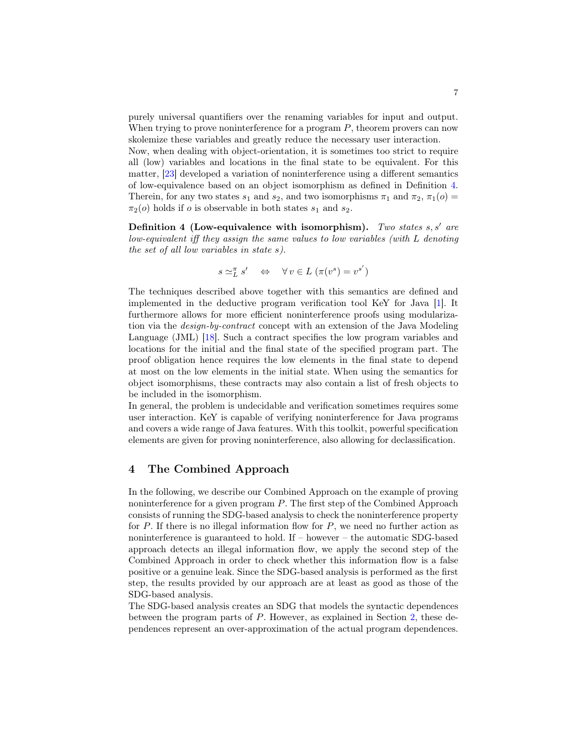purely universal quantifiers over the renaming variables for input and output. When trying to prove noninterference for a program  $P$ , theorem provers can now skolemize these variables and greatly reduce the necessary user interaction.

Now, when dealing with object-orientation, it is sometimes too strict to require all (low) variables and locations in the final state to be equivalent. For this matter, [\[23\]](#page-15-5) developed a variation of noninterference using a different semantics of low-equivalence based on an object isomorphism as defined in Definition [4.](#page-6-1) Therein, for any two states  $s_1$  and  $s_2$ , and two isomorphisms  $\pi_1$  and  $\pi_2$ ,  $\pi_1(o)$  $\pi_2(o)$  holds if o is observable in both states  $s_1$  and  $s_2$ .

<span id="page-6-1"></span>Definition 4 (Low-equivalence with isomorphism). Two states  $s, s'$  are low-equivalent iff they assign the same values to low variables (with L denoting the set of all low variables in state s).

$$
s \simeq_L^{\pi} s' \quad \Leftrightarrow \quad \forall v \in L \; (\pi(v^s) = v^{s'})
$$

The techniques described above together with this semantics are defined and implemented in the deductive program verification tool KeY for Java [\[1\]](#page-14-10). It furthermore allows for more efficient noninterference proofs using modularization via the design-by-contract concept with an extension of the Java Modeling Language (JML) [\[18\]](#page-15-6). Such a contract specifies the low program variables and locations for the initial and the final state of the specified program part. The proof obligation hence requires the low elements in the final state to depend at most on the low elements in the initial state. When using the semantics for object isomorphisms, these contracts may also contain a list of fresh objects to be included in the isomorphism.

In general, the problem is undecidable and verification sometimes requires some user interaction. KeY is capable of verifying noninterference for Java programs and covers a wide range of Java features. With this toolkit, powerful specification elements are given for proving noninterference, also allowing for declassification.

#### <span id="page-6-0"></span>4 The Combined Approach

In the following, we describe our Combined Approach on the example of proving noninterference for a given program P. The first step of the Combined Approach consists of running the SDG-based analysis to check the noninterference property for  $P$ . If there is no illegal information flow for  $P$ , we need no further action as noninterference is guaranteed to hold. If – however – the automatic SDG-based approach detects an illegal information flow, we apply the second step of the Combined Approach in order to check whether this information flow is a false positive or a genuine leak. Since the SDG-based analysis is performed as the first step, the results provided by our approach are at least as good as those of the SDG-based analysis.

The SDG-based analysis creates an SDG that models the syntactic dependences between the program parts of P. However, as explained in Section [2,](#page-2-0) these dependences represent an over-approximation of the actual program dependences.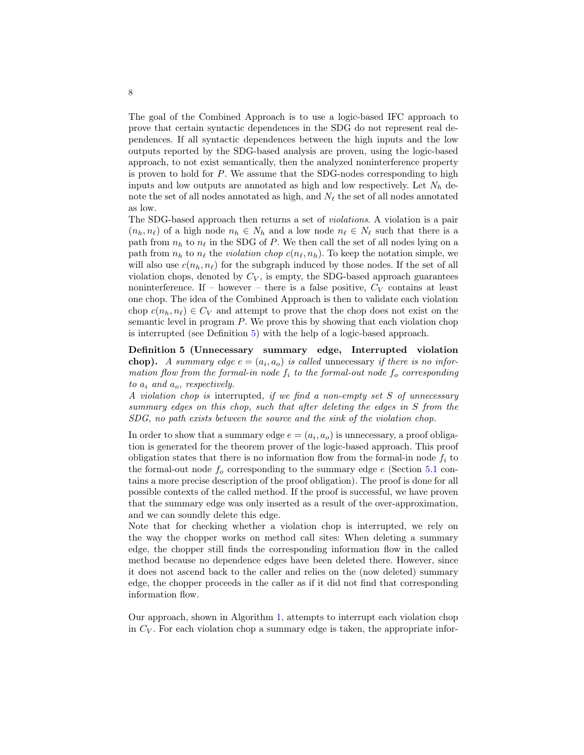The goal of the Combined Approach is to use a logic-based IFC approach to prove that certain syntactic dependences in the SDG do not represent real dependences. If all syntactic dependences between the high inputs and the low outputs reported by the SDG-based analysis are proven, using the logic-based approach, to not exist semantically, then the analyzed noninterference property is proven to hold for P. We assume that the SDG-nodes corresponding to high inputs and low outputs are annotated as high and low respectively. Let  $N_h$  denote the set of all nodes annotated as high, and  $N_\ell$  the set of all nodes annotated as low.

The SDG-based approach then returns a set of violations. A violation is a pair  $(n_h, n_\ell)$  of a high node  $n_h \in N_h$  and a low node  $n_\ell \in N_\ell$  such that there is a path from  $n_h$  to  $n_\ell$  in the SDG of P. We then call the set of all nodes lying on a path from  $n_h$  to  $n_\ell$  the *violation chop c(n<sub>l</sub>, n<sub>h</sub>*). To keep the notation simple, we will also use  $c(n_h, n_\ell)$  for the subgraph induced by those nodes. If the set of all violation chops, denoted by  $C_V$ , is empty, the SDG-based approach guarantees noninterference. If – however – there is a false positive,  $C_V$  contains at least one chop. The idea of the Combined Approach is then to validate each violation chop  $c(n_h, n_\ell) \in C_V$  and attempt to prove that the chop does not exist on the semantic level in program P. We prove this by showing that each violation chop is interrupted (see Definition [5\)](#page-7-0) with the help of a logic-based approach.

<span id="page-7-0"></span>Definition 5 (Unnecessary summary edge, Interrupted violation **chop).** A summary edge  $e = (a_i, a_o)$  is called unnecessary if there is no information flow from the formal-in node  $f_i$  to the formal-out node  $f_o$  corresponding to  $a_i$  and  $a_o$ , respectively.

A violation chop is interrupted, if we find a non-empty set S of unnecessary summary edges on this chop, such that after deleting the edges in S from the SDG, no path exists between the source and the sink of the violation chop.

In order to show that a summary edge  $e = (a_i, a_o)$  is unnecessary, a proof obligation is generated for the theorem prover of the logic-based approach. This proof obligation states that there is no information flow from the formal-in node  $f_i$  to the formal-out node  $f<sub>o</sub>$  corresponding to the summary edge e (Section [5.1](#page-10-1) contains a more precise description of the proof obligation). The proof is done for all possible contexts of the called method. If the proof is successful, we have proven that the summary edge was only inserted as a result of the over-approximation, and we can soundly delete this edge.

Note that for checking whether a violation chop is interrupted, we rely on the way the chopper works on method call sites: When deleting a summary edge, the chopper still finds the corresponding information flow in the called method because no dependence edges have been deleted there. However, since it does not ascend back to the caller and relies on the (now deleted) summary edge, the chopper proceeds in the caller as if it did not find that corresponding information flow.

Our approach, shown in Algorithm [1,](#page-8-0) attempts to interrupt each violation chop in  $C_V$ . For each violation chop a summary edge is taken, the appropriate infor-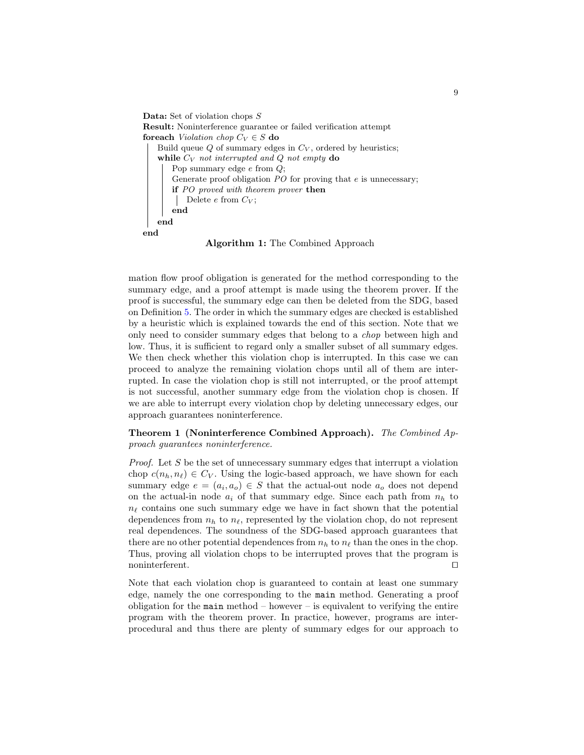```
Data: Set of violation chops S
Result: Noninterference guarantee or failed verification attempt
foreach Violation chop C_V \in S do
   Build queue Q of summary edges in C_V, ordered by heuristics;
   while C_V not interrupted and Q not empty do
       Pop summary edge e from Q;
       Generate proof obligation PO for proving that e is unnecessary;
       if PO proved with theorem prover then
        Delete e from C_V;
       end
   end
end
```


<span id="page-8-0"></span>mation flow proof obligation is generated for the method corresponding to the summary edge, and a proof attempt is made using the theorem prover. If the proof is successful, the summary edge can then be deleted from the SDG, based on Definition [5.](#page-7-0) The order in which the summary edges are checked is established by a heuristic which is explained towards the end of this section. Note that we only need to consider summary edges that belong to a chop between high and low. Thus, it is sufficient to regard only a smaller subset of all summary edges. We then check whether this violation chop is interrupted. In this case we can proceed to analyze the remaining violation chops until all of them are interrupted. In case the violation chop is still not interrupted, or the proof attempt is not successful, another summary edge from the violation chop is chosen. If we are able to interrupt every violation chop by deleting unnecessary edges, our approach guarantees noninterference.

Theorem 1 (Noninterference Combined Approach). The Combined Approach guarantees noninterference.

Proof. Let S be the set of unnecessary summary edges that interrupt a violation chop  $c(n_h, n_\ell) \in C_V$ . Using the logic-based approach, we have shown for each summary edge  $e = (a_i, a_o) \in S$  that the actual-out node  $a_o$  does not depend on the actual-in node  $a_i$  of that summary edge. Since each path from  $n_h$  to  $n_{\ell}$  contains one such summary edge we have in fact shown that the potential dependences from  $n_h$  to  $n_\ell$ , represented by the violation chop, do not represent real dependences. The soundness of the SDG-based approach guarantees that there are no other potential dependences from  $n_h$  to  $n_\ell$  than the ones in the chop. Thus, proving all violation chops to be interrupted proves that the program is noninterferent.  $\Box$ 

Note that each violation chop is guaranteed to contain at least one summary edge, namely the one corresponding to the main method. Generating a proof obligation for the main method – however – is equivalent to verifying the entire program with the theorem prover. In practice, however, programs are interprocedural and thus there are plenty of summary edges for our approach to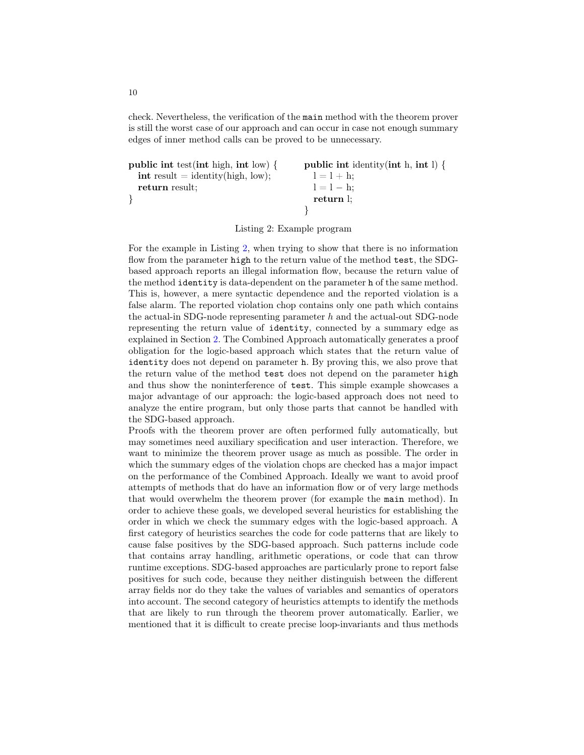check. Nevertheless, the verification of the main method with the theorem prover is still the worst case of our approach and can occur in case not enough summary edges of inner method calls can be proved to be unnecessary.

<span id="page-9-0"></span>

| <b>public int</b> test(int high, int low) {  | <b>public int</b> identity(int h, int l) { |
|----------------------------------------------|--------------------------------------------|
| $\mathbf{int}$ result = identity(high, low); | $l = l + h$ ;                              |
| return result;                               | $l = l - h$ :                              |
|                                              | return l:                                  |
|                                              |                                            |

Listing 2: Example program

For the example in Listing [2,](#page-9-0) when trying to show that there is no information flow from the parameter high to the return value of the method test, the SDGbased approach reports an illegal information flow, because the return value of the method identity is data-dependent on the parameter h of the same method. This is, however, a mere syntactic dependence and the reported violation is a false alarm. The reported violation chop contains only one path which contains the actual-in SDG-node representing parameter  $h$  and the actual-out SDG-node representing the return value of identity, connected by a summary edge as explained in Section [2.](#page-2-0) The Combined Approach automatically generates a proof obligation for the logic-based approach which states that the return value of identity does not depend on parameter h. By proving this, we also prove that the return value of the method test does not depend on the parameter high and thus show the noninterference of test. This simple example showcases a major advantage of our approach: the logic-based approach does not need to analyze the entire program, but only those parts that cannot be handled with the SDG-based approach.

Proofs with the theorem prover are often performed fully automatically, but may sometimes need auxiliary specification and user interaction. Therefore, we want to minimize the theorem prover usage as much as possible. The order in which the summary edges of the violation chops are checked has a major impact on the performance of the Combined Approach. Ideally we want to avoid proof attempts of methods that do have an information flow or of very large methods that would overwhelm the theorem prover (for example the main method). In order to achieve these goals, we developed several heuristics for establishing the order in which we check the summary edges with the logic-based approach. A first category of heuristics searches the code for code patterns that are likely to cause false positives by the SDG-based approach. Such patterns include code that contains array handling, arithmetic operations, or code that can throw runtime exceptions. SDG-based approaches are particularly prone to report false positives for such code, because they neither distinguish between the different array fields nor do they take the values of variables and semantics of operators into account. The second category of heuristics attempts to identify the methods that are likely to run through the theorem prover automatically. Earlier, we mentioned that it is difficult to create precise loop-invariants and thus methods

10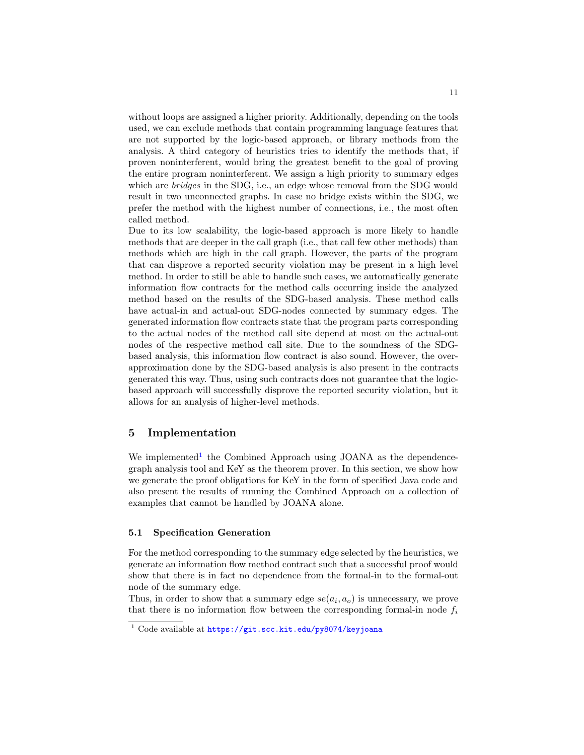without loops are assigned a higher priority. Additionally, depending on the tools used, we can exclude methods that contain programming language features that are not supported by the logic-based approach, or library methods from the analysis. A third category of heuristics tries to identify the methods that, if proven noninterferent, would bring the greatest benefit to the goal of proving the entire program noninterferent. We assign a high priority to summary edges which are *bridges* in the SDG, i.e., an edge whose removal from the SDG would result in two unconnected graphs. In case no bridge exists within the SDG, we prefer the method with the highest number of connections, i.e., the most often called method.

Due to its low scalability, the logic-based approach is more likely to handle methods that are deeper in the call graph (i.e., that call few other methods) than methods which are high in the call graph. However, the parts of the program that can disprove a reported security violation may be present in a high level method. In order to still be able to handle such cases, we automatically generate information flow contracts for the method calls occurring inside the analyzed method based on the results of the SDG-based analysis. These method calls have actual-in and actual-out SDG-nodes connected by summary edges. The generated information flow contracts state that the program parts corresponding to the actual nodes of the method call site depend at most on the actual-out nodes of the respective method call site. Due to the soundness of the SDGbased analysis, this information flow contract is also sound. However, the overapproximation done by the SDG-based analysis is also present in the contracts generated this way. Thus, using such contracts does not guarantee that the logicbased approach will successfully disprove the reported security violation, but it allows for an analysis of higher-level methods.

## <span id="page-10-0"></span>5 Implementation

We implemented<sup>[1](#page-10-2)</sup> the Combined Approach using JOANA as the dependencegraph analysis tool and KeY as the theorem prover. In this section, we show how we generate the proof obligations for KeY in the form of specified Java code and also present the results of running the Combined Approach on a collection of examples that cannot be handled by JOANA alone.

#### <span id="page-10-1"></span>5.1 Specification Generation

For the method corresponding to the summary edge selected by the heuristics, we generate an information flow method contract such that a successful proof would show that there is in fact no dependence from the formal-in to the formal-out node of the summary edge.

Thus, in order to show that a summary edge  $se(a_i, a_o)$  is unnecessary, we prove that there is no information flow between the corresponding formal-in node  $f_i$ 

<span id="page-10-2"></span><sup>1</sup> Code available at <https://git.scc.kit.edu/py8074/keyjoana>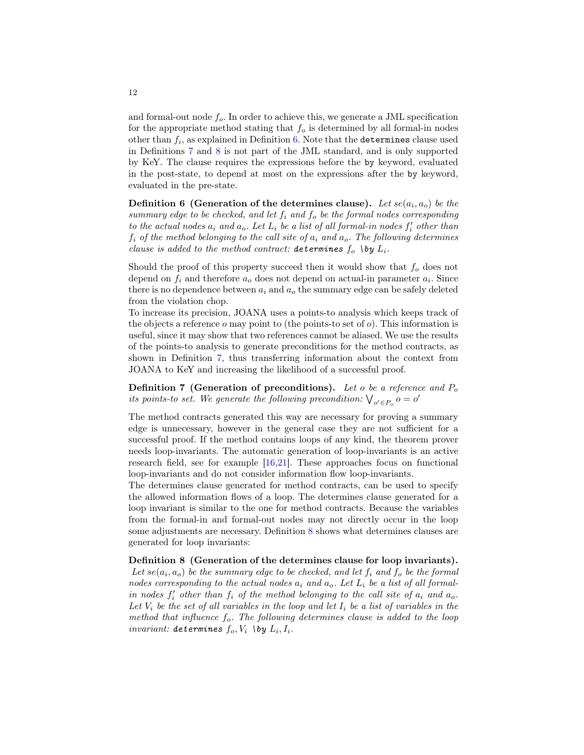and formal-out node  $f<sub>o</sub>$ . In order to achieve this, we generate a JML specification for the appropriate method stating that  $f<sub>o</sub>$  is determined by all formal-in nodes other than  $f_i$ , as explained in Definition [6.](#page-11-0) Note that the determines clause used in Definitions [7](#page-11-1) and [8](#page-11-2) is not part of the JML standard, and is only supported by KeY. The clause requires the expressions before the by keyword, evaluated in the post-state, to depend at most on the expressions after the by keyword, evaluated in the pre-state.

<span id="page-11-0"></span>Definition 6 (Generation of the determines clause). Let  $se(a_i, a_o)$  be the summary edge to be checked, and let  $f_i$  and  $f_o$  be the formal nodes corresponding to the actual nodes  $a_i$  and  $a_o$ . Let  $L_i$  be a list of all formal-in nodes  $f'_i$  other than  $f_i$  of the method belonging to the call site of  $a_i$  and  $a_o$ . The following determines clause is added to the method contract: determines  $f_o \rightarrow b y L_i$ .

Should the proof of this property succeed then it would show that  $f<sub>o</sub>$  does not depend on  $f_i$  and therefore  $a_o$  does not depend on actual-in parameter  $a_i$ . Since there is no dependence between  $a_i$  and  $a_o$  the summary edge can be safely deleted from the violation chop.

To increase its precision, JOANA uses a points-to analysis which keeps track of the objects a reference  $o$  may point to (the points-to set of  $o$ ). This information is useful, since it may show that two references cannot be aliased. We use the results of the points-to analysis to generate preconditions for the method contracts, as shown in Definition [7,](#page-11-1) thus transferring information about the context from JOANA to KeY and increasing the likelihood of a successful proof.

<span id="page-11-1"></span>**Definition 7** (Generation of preconditions). Let o be a reference and  $P_o$ its points-to set. We generate the following precondition:  $\bigvee_{o' \in P_o} o = o'$ 

The method contracts generated this way are necessary for proving a summary edge is unnecessary, however in the general case they are not sufficient for a successful proof. If the method contains loops of any kind, the theorem prover needs loop-invariants. The automatic generation of loop-invariants is an active research field, see for example [\[16](#page-15-7)[,21\]](#page-15-8). These approaches focus on functional loop-invariants and do not consider information flow loop-invariants.

The determines clause generated for method contracts, can be used to specify the allowed information flows of a loop. The determines clause generated for a loop invariant is similar to the one for method contracts. Because the variables from the formal-in and formal-out nodes may not directly occur in the loop some adjustments are necessary. Definition [8](#page-11-2) shows what determines clauses are generated for loop invariants:

#### <span id="page-11-2"></span>Definition 8 (Generation of the determines clause for loop invariants).

Let  $se(a_i, a_o)$  be the summary edge to be checked, and let  $f_i$  and  $f_o$  be the formal nodes corresponding to the actual nodes  $a_i$  and  $a_o$ . Let  $L_i$  be a list of all formalin nodes  $f_i'$  other than  $f_i$  of the method belonging to the call site of  $a_i$  and  $a_o$ . Let  $V_i$  be the set of all variables in the loop and let  $I_i$  be a list of variables in the method that influence  $f_o$ . The following determines clause is added to the loop invariant: determines  $f_o, V_i \rightarrow V_i, I_i$ .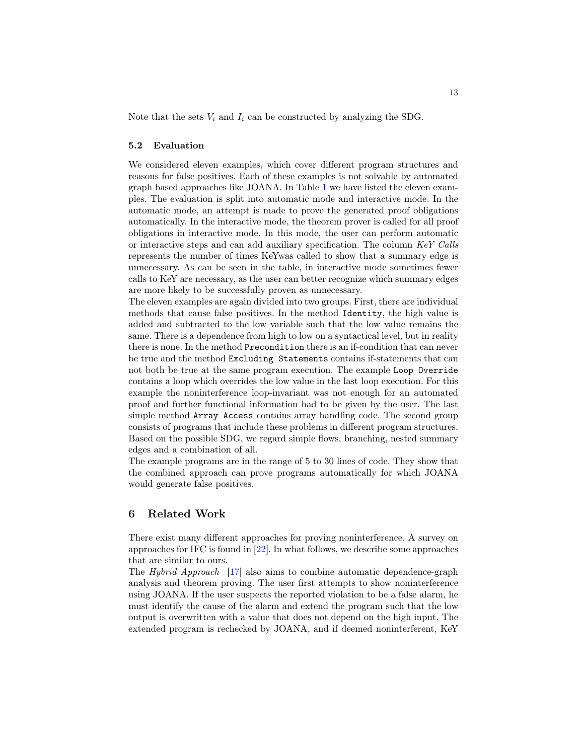Note that the sets  $V_i$  and  $I_i$  can be constructed by analyzing the SDG.

#### 5.2 Evaluation

We considered eleven examples, which cover different program structures and reasons for false positives. Each of these examples is not solvable by automated graph based approaches like JOANA. In Table [1](#page-13-1) we have listed the eleven examples. The evaluation is split into automatic mode and interactive mode. In the automatic mode, an attempt is made to prove the generated proof obligations automatically. In the interactive mode, the theorem prover is called for all proof obligations in interactive mode. In this mode, the user can perform automatic or interactive steps and can add auxiliary specification. The column KeY Calls represents the number of times KeYwas called to show that a summary edge is unnecessary. As can be seen in the table, in interactive mode sometimes fewer calls to KeY are necessary, as the user can better recognize which summary edges are more likely to be successfully proven as unnecessary.

The eleven examples are again divided into two groups. First, there are individual methods that cause false positives. In the method Identity, the high value is added and subtracted to the low variable such that the low value remains the same. There is a dependence from high to low on a syntactical level, but in reality there is none. In the method Precondition there is an if-condition that can never be true and the method Excluding Statements contains if-statements that can not both be true at the same program execution. The example Loop Override contains a loop which overrides the low value in the last loop execution. For this example the noninterference loop-invariant was not enough for an automated proof and further functional information had to be given by the user. The last simple method Array Access contains array handling code. The second group consists of programs that include these problems in different program structures. Based on the possible SDG, we regard simple flows, branching, nested summary edges and a combination of all.

The example programs are in the range of 5 to 30 lines of code. They show that the combined approach can prove programs automatically for which JOANA would generate false positives.

## <span id="page-12-0"></span>6 Related Work

There exist many different approaches for proving noninterference. A survey on approaches for IFC is found in [\[22\]](#page-15-9). In what follows, we describe some approaches that are similar to ours.

The Hybrid Approach [\[17\]](#page-15-10) also aims to combine automatic dependence-graph analysis and theorem proving. The user first attempts to show noninterference using JOANA. If the user suspects the reported violation to be a false alarm, he must identify the cause of the alarm and extend the program such that the low output is overwritten with a value that does not depend on the high input. The extended program is rechecked by JOANA, and if deemed noninterferent, KeY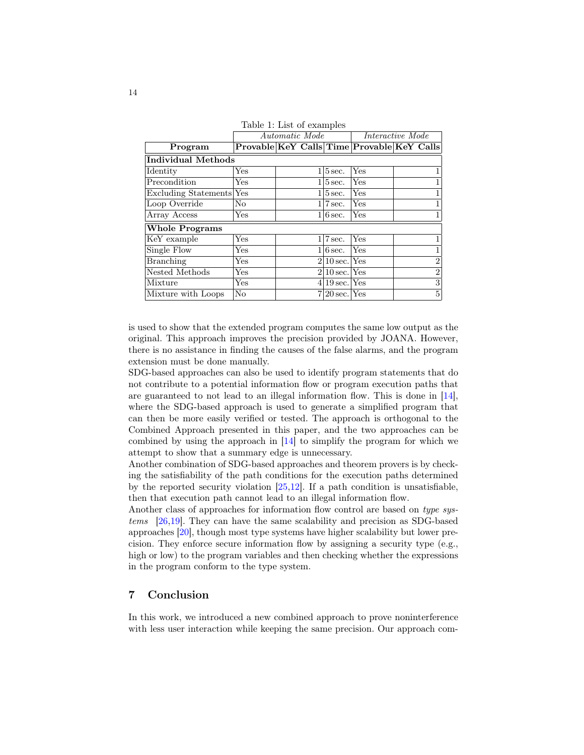Table 1: List of examples

<span id="page-13-1"></span>

|                           | Automatic Mode |  |  | Interactive Mode               |                                            |  |                |  |  |
|---------------------------|----------------|--|--|--------------------------------|--------------------------------------------|--|----------------|--|--|
| Program                   |                |  |  |                                | Provable KeY Calls Time Provable KeY Calls |  |                |  |  |
| <b>Individual Methods</b> |                |  |  |                                |                                            |  |                |  |  |
| Identity                  | Yes            |  |  | $1\vert 5$ sec.                | Yes                                        |  |                |  |  |
| Precondition              | Yes            |  |  | $1\vert 5$ sec.                | Yes                                        |  |                |  |  |
| Excluding Statements Yes  |                |  |  | $1\vert 5$ sec.                | Yes                                        |  |                |  |  |
| Loop Override             | No             |  |  | $117$ sec.                     | Yes                                        |  |                |  |  |
| Array Access              | Yes            |  |  | $1 6 \,\text{sec}.$            | Yes                                        |  |                |  |  |
| <b>Whole Programs</b>     |                |  |  |                                |                                            |  |                |  |  |
| KeY example               | Yes            |  |  | $1 7$ sec.                     | Yes                                        |  |                |  |  |
| Single Flow               | Yes            |  |  | $1 6 \,\text{sec}.$            | Yes                                        |  |                |  |  |
| <b>Branching</b>          | Yes            |  |  | $2 10 \text{ sec.} \text{Yes}$ |                                            |  | $\overline{2}$ |  |  |
| Nested Methods            | Yes            |  |  | $2 10 \text{ sec.} \text{Yes}$ |                                            |  | $\overline{2}$ |  |  |
| Mixture                   | Yes            |  |  | $4 19 \text{ sec.} \text{Yes}$ |                                            |  | 3              |  |  |
| Mixture with Loops        | No             |  |  | $7 20 \text{ sec.} \text{Yes}$ |                                            |  | 5              |  |  |

is used to show that the extended program computes the same low output as the original. This approach improves the precision provided by JOANA. However, there is no assistance in finding the causes of the false alarms, and the program extension must be done manually.

SDG-based approaches can also be used to identify program statements that do not contribute to a potential information flow or program execution paths that are guaranteed to not lead to an illegal information flow. This is done in [\[14\]](#page-15-3), where the SDG-based approach is used to generate a simplified program that can then be more easily verified or tested. The approach is orthogonal to the Combined Approach presented in this paper, and the two approaches can be combined by using the approach in [\[14\]](#page-15-3) to simplify the program for which we attempt to show that a summary edge is unnecessary.

Another combination of SDG-based approaches and theorem provers is by checking the satisfiability of the path conditions for the execution paths determined by the reported security violation  $[25,12]$  $[25,12]$ . If a path condition is unsatisfiable, then that execution path cannot lead to an illegal information flow.

Another class of approaches for information flow control are based on type systems [\[26,](#page-15-13)[19\]](#page-15-14). They can have the same scalability and precision as SDG-based approaches [\[20\]](#page-15-15), though most type systems have higher scalability but lower precision. They enforce secure information flow by assigning a security type (e.g., high or low) to the program variables and then checking whether the expressions in the program conform to the type system.

## <span id="page-13-0"></span>7 Conclusion

In this work, we introduced a new combined approach to prove noninterference with less user interaction while keeping the same precision. Our approach com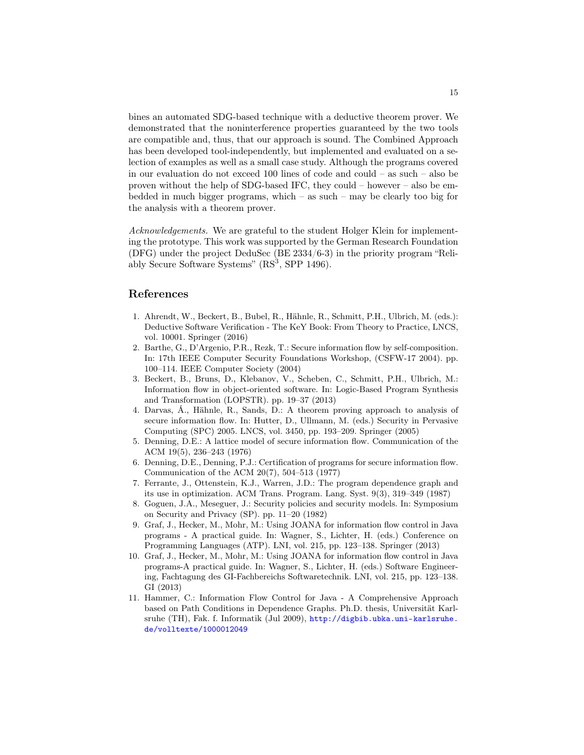bines an automated SDG-based technique with a deductive theorem prover. We demonstrated that the noninterference properties guaranteed by the two tools are compatible and, thus, that our approach is sound. The Combined Approach has been developed tool-independently, but implemented and evaluated on a selection of examples as well as a small case study. Although the programs covered in our evaluation do not exceed 100 lines of code and could – as such – also be proven without the help of SDG-based IFC, they could – however – also be embedded in much bigger programs, which – as such – may be clearly too big for the analysis with a theorem prover.

Acknowledgements. We are grateful to the student Holger Klein for implementing the prototype. This work was supported by the German Research Foundation (DFG) under the project DeduSec (BE 2334/6-3) in the priority program "Reliably Secure Software Systems"  $(RS^3, SPP 1496)$ .

#### References

- <span id="page-14-10"></span>1. Ahrendt, W., Beckert, B., Bubel, R., Hähnle, R., Schmitt, P.H., Ulbrich, M. (eds.): Deductive Software Verification - The KeY Book: From Theory to Practice, LNCS, vol. 10001. Springer (2016)
- <span id="page-14-9"></span>2. Barthe, G., D'Argenio, P.R., Rezk, T.: Secure information flow by self-composition. In: 17th IEEE Computer Security Foundations Workshop, (CSFW-17 2004). pp. 100–114. IEEE Computer Society (2004)
- <span id="page-14-4"></span>3. Beckert, B., Bruns, D., Klebanov, V., Scheben, C., Schmitt, P.H., Ulbrich, M.: Information flow in object-oriented software. In: Logic-Based Program Synthesis and Transformation (LOPSTR). pp. 19–37 (2013)
- <span id="page-14-8"></span>4. Darvas, Á., Hähnle, R., Sands, D.: A theorem proving approach to analysis of secure information flow. In: Hutter, D., Ullmann, M. (eds.) Security in Pervasive Computing (SPC) 2005. LNCS, vol. 3450, pp. 193–209. Springer (2005)
- <span id="page-14-0"></span>5. Denning, D.E.: A lattice model of secure information flow. Communication of the ACM 19(5), 236–243 (1976)
- <span id="page-14-1"></span>6. Denning, D.E., Denning, P.J.: Certification of programs for secure information flow. Communication of the ACM 20(7), 504–513 (1977)
- <span id="page-14-5"></span>7. Ferrante, J., Ottenstein, K.J., Warren, J.D.: The program dependence graph and its use in optimization. ACM Trans. Program. Lang. Syst. 9(3), 319–349 (1987)
- <span id="page-14-2"></span>8. Goguen, J.A., Meseguer, J.: Security policies and security models. In: Symposium on Security and Privacy (SP). pp. 11–20 (1982)
- <span id="page-14-6"></span>9. Graf, J., Hecker, M., Mohr, M.: Using JOANA for information flow control in Java programs - A practical guide. In: Wagner, S., Lichter, H. (eds.) Conference on Programming Languages (ATP). LNI, vol. 215, pp. 123–138. Springer (2013)
- <span id="page-14-3"></span>10. Graf, J., Hecker, M., Mohr, M.: Using JOANA for information flow control in Java programs-A practical guide. In: Wagner, S., Lichter, H. (eds.) Software Engineering, Fachtagung des GI-Fachbereichs Softwaretechnik. LNI, vol. 215, pp. 123–138. GI (2013)
- <span id="page-14-7"></span>11. Hammer, C.: Information Flow Control for Java - A Comprehensive Approach based on Path Conditions in Dependence Graphs. Ph.D. thesis, Universität Karlsruhe (TH), Fak. f. Informatik (Jul 2009), [http://digbib.ubka.uni-karlsruhe.](http://digbib.ubka.uni-karlsruhe.de/volltexte/1000012049) [de/volltexte/1000012049](http://digbib.ubka.uni-karlsruhe.de/volltexte/1000012049)